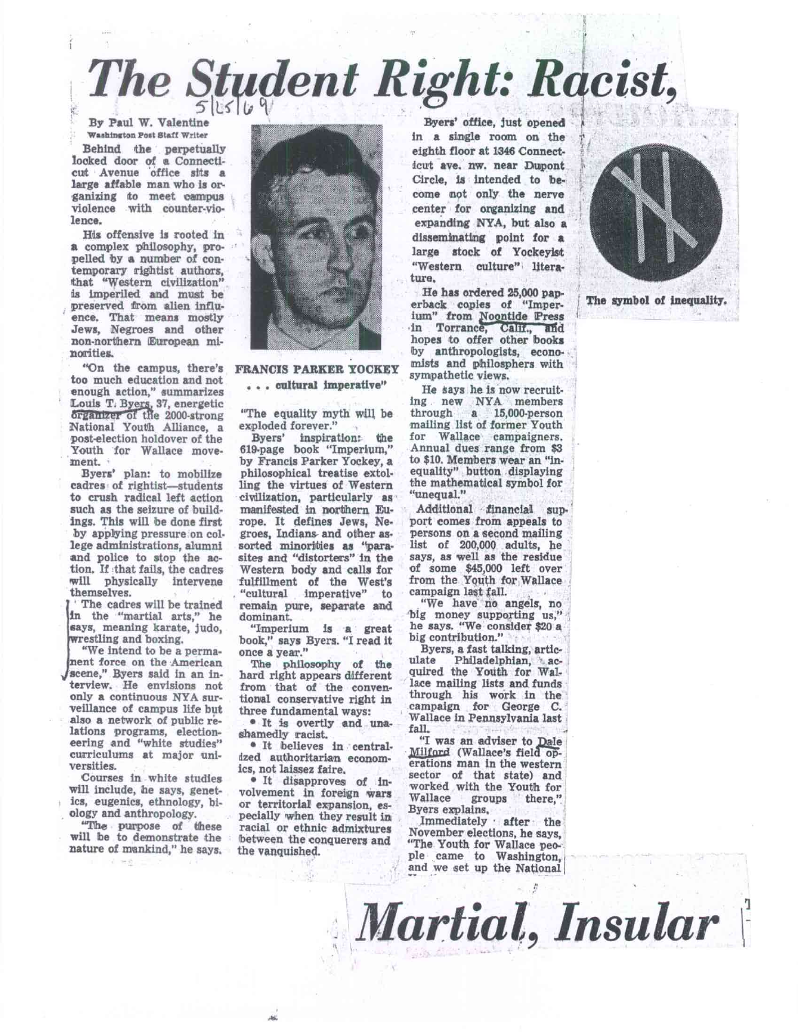## $The$  *Student Right: Racist,*

**By Paul W. Valentine Washington Post Staff Writer** 

**Behind the perpetually looked door of a Connecti**cut Avenue office sits a **large affable man who is organizing to meet campus violence with counter-violence.** 

**His offensive is rooted in a complex philosophy, propelled by a number of contemporary rightist authors, that "Western civilization" is imperiled and must be preserved from alien influence. That means mostly Jews, Negroes and other non-northern European minorities.** 

**"On the campus, there's too much education and not enough action," summarizes**  Louis T. Bye<u>rs</u>, 37, energetic **rganizer** of the 2000-strong **National Youth Alliance, a post-election holdover of the Youth for Wallace movement.** 

**Byers' plan: to mobilize cadres of rightist—students to crush radical left action such as the seizure of buildings. This will be done first by applying pressure on college administrations, alumni and police to stop the action. If that fails, the cadres will physically intervene themselves.** 

**The cadres will be trained in the "martial arts," he says, meaning karate, judo, restling and boxing.** 

**iw scene," Byers said in an in-"We intend to be a permanent force on the American terview. He envisions not only a continuous NYA surveillance of campus life but also a network of public relations programs, electioneering and "white studies" curriculums at major universities.** 

**Courses in white studies will include, he says, genetics, eugenics, ethnology, biology and anthropology.** 

**"The purpose of these will be to demonstrate the nature of mankind," he says.** 



**FRANCIS PARKER YOCKEY . . . cultural imperative"** 

**"The equality myth will be exploded forever."** 

**Byers' inspiration: the 619-page book "Imperium," by Francis Parker Yockey, a philosophical treatise extolling the virtues of Western civilization, particularly as manifested in northern Europe. It defines Jews, Negroes, Indians- and other assorted minorities as "parasites and "distorters" in the Western body and calls for fulfillment of the West's "cultural imperative" to remain pure, separate and dominant.** 

**"Imperium is a great book," says Byers. "I read it once a year."** 

**The philosophy of the hard right appears different from that of the conventional conservative right in three fundamental ways:** 

**• It is overtly and unashamedly racist.** 

**• It believes in centralized authoritarian economics, not laissez faire.** 

**• It disapproves of involvement in foreign wars or territorial expansion, especially when they result in racial or ethnic admixtures between the conquerers and the vanquished.** 

**Byers' office, just opened in a single room on the eighth floor at 1346 Connecticut ave. nw. near Dupont Circle, is intended to become not only the nerve center for organizing and expanding NYA, but also a disseminating point for a large stock of Yockeylst "Western culture" literature.** 

**He has ordered 25,000 paperback copies of "Imper-Jum"** from Noontide Press in Torrance, Calif., and **hopes to offer other books by anthropologists, economists and pthilosphers with sympathetic views.** 

**He says he is now recruiting new NYA members through a 15,000-person mailing list of former Youth for Wallace campaigners. Annual dues range from \$3 to \$10. Members wear an "inequality" button displaying the mathematical symbol for "unequal."** 

Additional financial sup**port comes from appeals to persons on a second mailing list of 200,000 adults, he**  *says,* **as well as the residue of some \$45,000 left over from the Yenth for Wallace campaign last tall.** 

**"We have no angels, no big money supporting us," he says. "We consider \$20 a big contribution."** 

**Byers, a fast talking, articulate Philadelphian, acquired the Youth for Wallace mailing lists and funds through his work in the campaign for George C. Wallace in Pennsylvania last fall.** 

"I was an adviser to Dale **Zillate (Wallace's field** *op***erations man In the western sector of that state) and worked with the Youth for Wallace groups there," Byers explains.** 

**Immediately • after the November elections, he says, "The Youth for Wallace people came to Washington, and we set up the National** 

*Martial, Insular \'* 



**The symbol of inequality.**